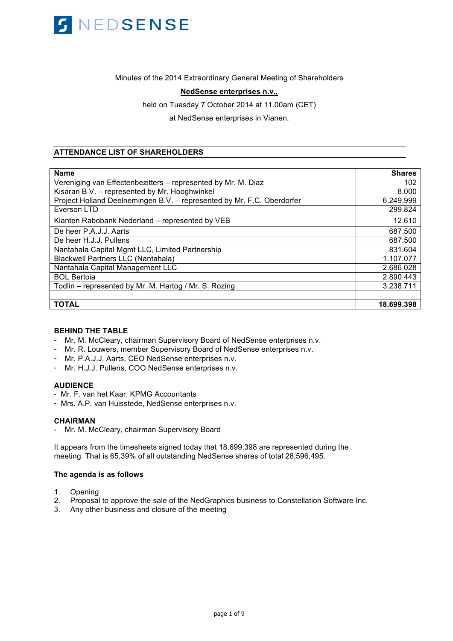

Minutes of the 2014 Extraordinary General Meeting of Shareholders

## **NedSense enterprises n.v.,**

held on Tuesday 7 October 2014 at 11.00am (CET)

at NedSense enterprises in Vianen.

## **ATTENDANCE LIST OF SHAREHOLDERS**

| <b>Name</b>                                                            | <b>Shares</b> |
|------------------------------------------------------------------------|---------------|
| Vereniging van Effectenbezitters - represented by Mr. M. Diaz          | 102           |
| Kisaran B.V. - represented by Mr. Hooghwinkel                          | 8.000         |
| Project Holland Deelnemingen B.V. - represented by Mr. F.C. Oberdorfer | 6.249.999     |
| Everson LTD                                                            | 299.824       |
| Klanten Rabobank Nederland - represented by VEB                        | 12.610        |
| De heer P.A.J.J. Aarts                                                 | 687.500       |
| De heer H.J.J. Pullens                                                 | 687.500       |
| Nantahala Capital Mgmt LLC, Limited Partnership                        | 831.604       |
| <b>Blackwell Partners LLC (Nantahala)</b>                              | 1.107.077     |
| Nantahala Capital Management LLC                                       | 2.686.028     |
| <b>BOL Bertoia</b>                                                     | 2.890.443     |
| Todlin – represented by Mr. M. Hartog / Mr. S. Rozing                  | 3.238.711     |
|                                                                        |               |
| <b>TOTAL</b>                                                           | 18.699.398    |

## **BEHIND THE TABLE**

- Mr. M. McCleary, chairman Supervisory Board of NedSense enterprises n.v.
- Mr. R. Louwers, member Supervisory Board of NedSense enterprises n.v.
- Mr. P.A.J.J. Aarts, CEO NedSense enterprises n.v.
- Mr. H.J.J. Pullens, COO NedSense enterprises n.v.

## **AUDIENCE**

- Mr. F. van het Kaar, KPMG Accountants
- Mrs. A.P. van Huisstede, NedSense enterprises n.v.

## **CHAIRMAN**

- Mr. M. McCleary, chairman Supervisory Board

It appears from the timesheets signed today that 18.699.398 are represented during the meeting. That is 65,39% of all outstanding NedSense shares of total 28,596,495.

#### **The agenda is as follows**

- 1. Opening
- 2. Proposal to approve the sale of the NedGraphics business to Constellation Software Inc.
- 3. Any other business and closure of the meeting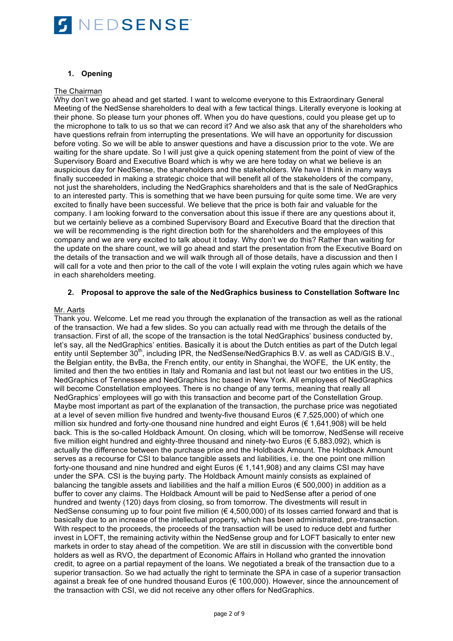

## **1. Opening**

## The Chairman

Why don't we go ahead and get started. I want to welcome everyone to this Extraordinary General Meeting of the NedSense shareholders to deal with a few tactical things. Literally everyone is looking at their phone. So please turn your phones off. When you do have questions, could you please get up to the microphone to talk to us so that we can record it? And we also ask that any of the shareholders who have questions refrain from interrupting the presentations. We will have an opportunity for discussion before voting. So we will be able to answer questions and have a discussion prior to the vote. We are waiting for the share update. So I will just give a quick opening statement from the point of view of the Supervisory Board and Executive Board which is why we are here today on what we believe is an auspicious day for NedSense, the shareholders and the stakeholders. We have I think in many ways finally succeeded in making a strategic choice that will benefit all of the stakeholders of the company, not just the shareholders, including the NedGraphics shareholders and that is the sale of NedGraphics to an interested party. This is something that we have been pursuing for quite some time. We are very excited to finally have been successful. We believe that the price is both fair and valuable for the company. I am looking forward to the conversation about this issue if there are any questions about it, but we certainly believe as a combined Supervisory Board and Executive Board that the direction that we will be recommending is the right direction both for the shareholders and the employees of this company and we are very excited to talk about it today. Why don't we do this? Rather than waiting for the update on the share count, we will go ahead and start the presentation from the Executive Board on the details of the transaction and we will walk through all of those details, have a discussion and then I will call for a vote and then prior to the call of the vote I will explain the voting rules again which we have in each shareholders meeting.

## **2. Proposal to approve the sale of the NedGraphics business to Constellation Software Inc**

## Mr. Aarts

Thank you. Welcome. Let me read you through the explanation of the transaction as well as the rational of the transaction. We had a few slides. So you can actually read with me through the details of the transaction. First of all, the scope of the transaction is the total NedGraphics' business conducted by, let's say, all the NedGraphics' entities. Basically it is about the Dutch entities as part of the Dutch legal entity until September 30<sup>th</sup>, including IPR, the NedSense/NedGraphics B.V. as well as CAD/GIS B.V., the Belgian entity, the BvBa, the French entity, our entity in Shanghai, the WOFE, the UK entity, the limited and then the two entities in Italy and Romania and last but not least our two entities in the US, NedGraphics of Tennessee and NedGraphics Inc based in New York. All employees of NedGraphics will become Constellation employees. There is no change of any terms, meaning that really all NedGraphics' employees will go with this transaction and become part of the Constellation Group. Maybe most important as part of the explanation of the transaction, the purchase price was negotiated at a level of seven million five hundred and twenty-five thousand Euros ( $\epsilon$  7,525,000) of which one million six hundred and forty-one thousand nine hundred and eight Euros ( $\epsilon$  1,641,908) will be held back. This is the so-called Holdback Amount. On closing, which will be tomorrow, NedSense will receive five million eight hundred and eighty-three thousand and ninety-two Euros (€ 5,883,092), which is actually the difference between the purchase price and the Holdback Amount. The Holdback Amount serves as a recourse for CSI to balance tangible assets and liabilities, i.e. the one point one million forty-one thousand and nine hundred and eight Euros ( $\in 1,141,908$ ) and any claims CSI may have under the SPA. CSI is the buying party. The Holdback Amount mainly consists as explained of balancing the tangible assets and liabilities and the half a million Euros (€ 500,000) in addition as a buffer to cover any claims. The Holdback Amount will be paid to NedSense after a period of one hundred and twenty (120) days from closing, so from tomorrow. The divestments will result in NedSense consuming up to four point five million ( $\epsilon$  4,500,000) of its losses carried forward and that is basically due to an increase of the intellectual property, which has been administrated, pre-transaction. With respect to the proceeds, the proceeds of the transaction will be used to reduce debt and further invest in LOFT, the remaining activity within the NedSense group and for LOFT basically to enter new markets in order to stay ahead of the competition. We are still in discussion with the convertible bond holders as well as RVO, the department of Economic Affairs in Holland who granted the innovation credit, to agree on a partial repayment of the loans. We negotiated a break of the transaction due to a superior transaction. So we had actually the right to terminate the SPA in case of a superior transaction against a break fee of one hundred thousand Euros (€ 100,000). However, since the announcement of the transaction with CSI, we did not receive any other offers for NedGraphics.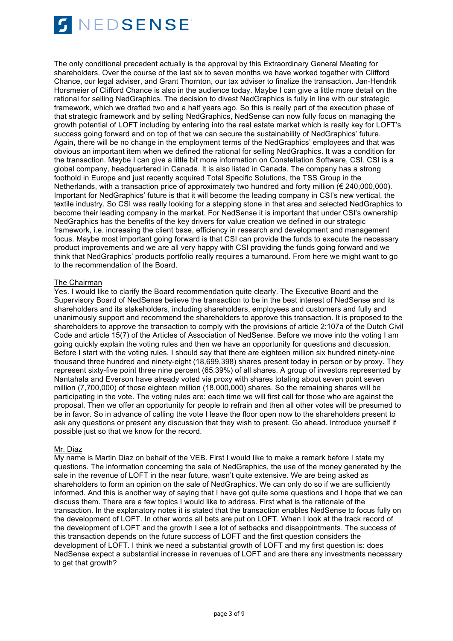

The only conditional precedent actually is the approval by this Extraordinary General Meeting for shareholders. Over the course of the last six to seven months we have worked together with Clifford Chance, our legal adviser, and Grant Thornton, our tax adviser to finalize the transaction. Jan-Hendrik Horsmeier of Clifford Chance is also in the audience today. Maybe I can give a little more detail on the rational for selling NedGraphics. The decision to divest NedGraphics is fully in line with our strategic framework, which we drafted two and a half years ago. So this is really part of the execution phase of that strategic framework and by selling NedGraphics, NedSense can now fully focus on managing the growth potential of LOFT including by entering into the real estate market which is really key for LOFT's success going forward and on top of that we can secure the sustainability of NedGraphics' future. Again, there will be no change in the employment terms of the NedGraphics' employees and that was obvious an important item when we defined the rational for selling NedGraphics. It was a condition for the transaction. Maybe I can give a little bit more information on Constellation Software, CSI. CSI is a global company, headquartered in Canada. It is also listed in Canada. The company has a strong foothold in Europe and just recently acquired Total Specific Solutions, the TSS Group in the Netherlands, with a transaction price of approximately two hundred and forty million (€ 240,000,000). Important for NedGraphics' future is that it will become the leading company in CSI's new vertical, the textile industry. So CSI was really looking for a stepping stone in that area and selected NedGraphics to become their leading company in the market. For NedSense it is important that under CSI's ownership NedGraphics has the benefits of the key drivers for value creation we defined in our strategic framework, i.e. increasing the client base, efficiency in research and development and management focus. Maybe most important going forward is that CSI can provide the funds to execute the necessary product improvements and we are all very happy with CSI providing the funds going forward and we think that NedGraphics' products portfolio really requires a turnaround. From here we might want to go to the recommendation of the Board.

## The Chairman

Yes. I would like to clarify the Board recommendation quite clearly. The Executive Board and the Supervisory Board of NedSense believe the transaction to be in the best interest of NedSense and its shareholders and its stakeholders, including shareholders, employees and customers and fully and unanimously support and recommend the shareholders to approve this transaction. It is proposed to the shareholders to approve the transaction to comply with the provisions of article 2:107a of the Dutch Civil Code and article 15(7) of the Articles of Association of NedSense. Before we move into the voting I am going quickly explain the voting rules and then we have an opportunity for questions and discussion. Before I start with the voting rules, I should say that there are eighteen million six hundred ninety-nine thousand three hundred and ninety-eight (18,699,398) shares present today in person or by proxy. They represent sixty-five point three nine percent (65.39%) of all shares. A group of investors represented by Nantahala and Everson have already voted via proxy with shares totaling about seven point seven million (7,700,000) of those eighteen million (18,000,000) shares. So the remaining shares will be participating in the vote. The voting rules are: each time we will first call for those who are against the proposal. Then we offer an opportunity for people to refrain and then all other votes will be presumed to be in favor. So in advance of calling the vote I leave the floor open now to the shareholders present to ask any questions or present any discussion that they wish to present. Go ahead. Introduce yourself if possible just so that we know for the record.

## Mr. Diaz

My name is Martin Diaz on behalf of the VEB. First I would like to make a remark before I state my questions. The information concerning the sale of NedGraphics, the use of the money generated by the sale in the revenue of LOFT in the near future, wasn't quite extensive. We are being asked as shareholders to form an opinion on the sale of NedGraphics. We can only do so if we are sufficiently informed. And this is another way of saying that I have got quite some questions and I hope that we can discuss them. There are a few topics I would like to address. First what is the rationale of the transaction. In the explanatory notes it is stated that the transaction enables NedSense to focus fully on the development of LOFT. In other words all bets are put on LOFT. When I look at the track record of the development of LOFT and the growth I see a lot of setbacks and disappointments. The success of this transaction depends on the future success of LOFT and the first question considers the development of LOFT. I think we need a substantial growth of LOFT and my first question is: does NedSense expect a substantial increase in revenues of LOFT and are there any investments necessary to get that growth?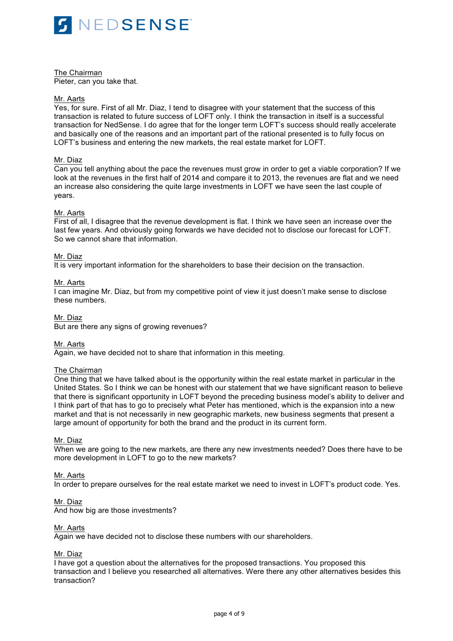

The Chairman Pieter, can you take that.

### Mr. Aarts

Yes, for sure. First of all Mr. Diaz, I tend to disagree with your statement that the success of this transaction is related to future success of LOFT only. I think the transaction in itself is a successful transaction for NedSense. I do agree that for the longer term LOFT's success should really accelerate and basically one of the reasons and an important part of the rational presented is to fully focus on LOFT's business and entering the new markets, the real estate market for LOFT.

## Mr. Diaz

Can you tell anything about the pace the revenues must grow in order to get a viable corporation? If we look at the revenues in the first half of 2014 and compare it to 2013, the revenues are flat and we need an increase also considering the quite large investments in LOFT we have seen the last couple of years.

## Mr. Aarts

First of all, I disagree that the revenue development is flat. I think we have seen an increase over the last few years. And obviously going forwards we have decided not to disclose our forecast for LOFT. So we cannot share that information.

### Mr. Diaz

It is very important information for the shareholders to base their decision on the transaction.

### Mr. Aarts

I can imagine Mr. Diaz, but from my competitive point of view it just doesn't make sense to disclose these numbers.

### Mr. Diaz

But are there any signs of growing revenues?

#### Mr. Aarts

Again, we have decided not to share that information in this meeting.

## The Chairman

One thing that we have talked about is the opportunity within the real estate market in particular in the United States. So I think we can be honest with our statement that we have significant reason to believe that there is significant opportunity in LOFT beyond the preceding business model's ability to deliver and I think part of that has to go to precisely what Peter has mentioned, which is the expansion into a new market and that is not necessarily in new geographic markets, new business segments that present a large amount of opportunity for both the brand and the product in its current form.

#### Mr. Diaz

When we are going to the new markets, are there any new investments needed? Does there have to be more development in LOFT to go to the new markets?

#### Mr. Aarts

In order to prepare ourselves for the real estate market we need to invest in LOFT's product code. Yes.

#### Mr. Diaz

And how big are those investments?

#### Mr. Aarts

Again we have decided not to disclose these numbers with our shareholders.

## Mr. Diaz

I have got a question about the alternatives for the proposed transactions. You proposed this transaction and I believe you researched all alternatives. Were there any other alternatives besides this transaction?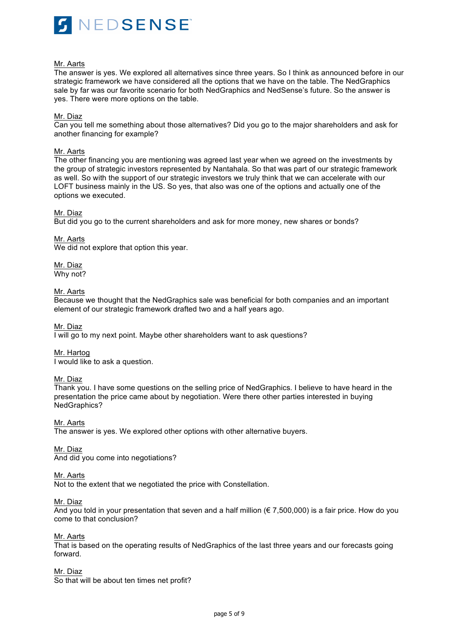

## Mr. Aarts

The answer is yes. We explored all alternatives since three years. So I think as announced before in our strategic framework we have considered all the options that we have on the table. The NedGraphics sale by far was our favorite scenario for both NedGraphics and NedSense's future. So the answer is yes. There were more options on the table.

## Mr. Diaz

Can you tell me something about those alternatives? Did you go to the major shareholders and ask for another financing for example?

## Mr. Aarts

The other financing you are mentioning was agreed last year when we agreed on the investments by the group of strategic investors represented by Nantahala. So that was part of our strategic framework as well. So with the support of our strategic investors we truly think that we can accelerate with our LOFT business mainly in the US. So yes, that also was one of the options and actually one of the options we executed.

## Mr. Diaz

But did you go to the current shareholders and ask for more money, new shares or bonds?

## Mr. Aarts

We did not explore that option this year.

## Mr. Diaz

Why not?

## Mr. Aarts

Because we thought that the NedGraphics sale was beneficial for both companies and an important element of our strategic framework drafted two and a half years ago.

## Mr. Diaz

I will go to my next point. Maybe other shareholders want to ask questions?

## Mr. Hartog

I would like to ask a question.

## Mr. Diaz

Thank you. I have some questions on the selling price of NedGraphics. I believe to have heard in the presentation the price came about by negotiation. Were there other parties interested in buying NedGraphics?

Mr. Aarts

The answer is yes. We explored other options with other alternative buyers.

#### Mr. Diaz

And did you come into negotiations?

#### Mr. Aarts

Not to the extent that we negotiated the price with Constellation.

#### Mr. Diaz

And you told in your presentation that seven and a half million  $(\epsilon 7,500,000)$  is a fair price. How do you come to that conclusion?

## Mr. Aarts

That is based on the operating results of NedGraphics of the last three years and our forecasts going forward.

## Mr. Diaz

So that will be about ten times net profit?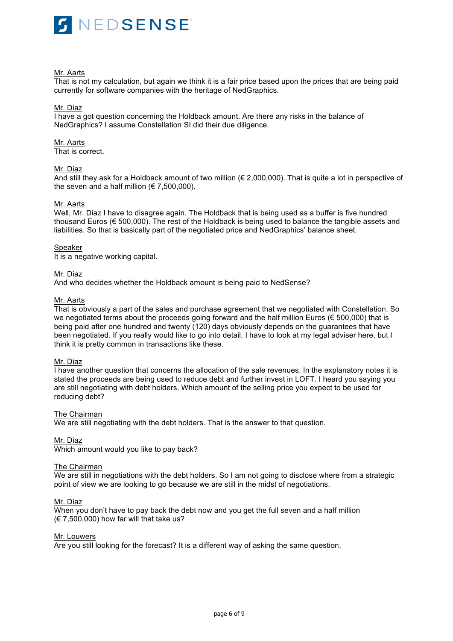

#### Mr. Aarts

That is not my calculation, but again we think it is a fair price based upon the prices that are being paid currently for software companies with the heritage of NedGraphics.

## Mr. Diaz

I have a got question concerning the Holdback amount. Are there any risks in the balance of NedGraphics? I assume Constellation SI did their due diligence.

# Mr. Aarts

That is correct.

## Mr. Diaz

And still they ask for a Holdback amount of two million (€ 2,000,000). That is quite a lot in perspective of the seven and a half million ( $\epsilon$  7,500,000).

### Mr. Aarts

Well, Mr. Diaz I have to disagree again. The Holdback that is being used as a buffer is five hundred thousand Euros (€ 500,000). The rest of the Holdback is being used to balance the tangible assets and liabilities. So that is basically part of the negotiated price and NedGraphics' balance sheet.

### Speaker

It is a negative working capital.

## Mr. Diaz

And who decides whether the Holdback amount is being paid to NedSense?

### Mr. Aarts

That is obviously a part of the sales and purchase agreement that we negotiated with Constellation. So we negotiated terms about the proceeds going forward and the half million Euros (€ 500,000) that is being paid after one hundred and twenty (120) days obviously depends on the guarantees that have been negotiated. If you really would like to go into detail, I have to look at my legal adviser here, but I think it is pretty common in transactions like these.

## Mr. Diaz

I have another question that concerns the allocation of the sale revenues. In the explanatory notes it is stated the proceeds are being used to reduce debt and further invest in LOFT. I heard you saying you are still negotiating with debt holders. Which amount of the selling price you expect to be used for reducing debt?

## The Chairman

We are still negotiating with the debt holders. That is the answer to that question.

## Mr. Diaz

Which amount would you like to pay back?

#### The Chairman

We are still in negotiations with the debt holders. So I am not going to disclose where from a strategic point of view we are looking to go because we are still in the midst of negotiations.

#### Mr. Diaz

When you don't have to pay back the debt now and you get the full seven and a half million  $(\in 7,500,000)$  how far will that take us?

## Mr. Louwers

Are you still looking for the forecast? It is a different way of asking the same question.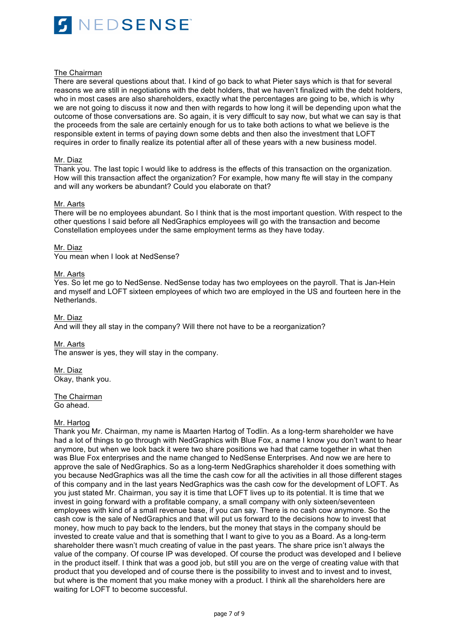

#### The Chairman

There are several questions about that. I kind of go back to what Pieter says which is that for several reasons we are still in negotiations with the debt holders, that we haven't finalized with the debt holders, who in most cases are also shareholders, exactly what the percentages are going to be, which is why we are not going to discuss it now and then with regards to how long it will be depending upon what the outcome of those conversations are. So again, it is very difficult to say now, but what we can say is that the proceeds from the sale are certainly enough for us to take both actions to what we believe is the responsible extent in terms of paying down some debts and then also the investment that LOFT requires in order to finally realize its potential after all of these years with a new business model.

### Mr. Diaz

Thank you. The last topic I would like to address is the effects of this transaction on the organization. How will this transaction affect the organization? For example, how many fte will stay in the company and will any workers be abundant? Could you elaborate on that?

### Mr. Aarts

There will be no employees abundant. So I think that is the most important question. With respect to the other questions I said before all NedGraphics employees will go with the transaction and become Constellation employees under the same employment terms as they have today.

### Mr. Diaz

You mean when I look at NedSense?

### Mr. Aarts

Yes. So let me go to NedSense. NedSense today has two employees on the payroll. That is Jan-Hein and myself and LOFT sixteen employees of which two are employed in the US and fourteen here in the Netherlands.

## Mr. Diaz

And will they all stay in the company? Will there not have to be a reorganization?

#### Mr. Aarts

The answer is yes, they will stay in the company.

Mr. Diaz Okay, thank you.

The Chairman Go ahead.

# Mr. Hartog

Thank you Mr. Chairman, my name is Maarten Hartog of Todlin. As a long-term shareholder we have had a lot of things to go through with NedGraphics with Blue Fox, a name I know you don't want to hear anymore, but when we look back it were two share positions we had that came together in what then was Blue Fox enterprises and the name changed to NedSense Enterprises. And now we are here to approve the sale of NedGraphics. So as a long-term NedGraphics shareholder it does something with you because NedGraphics was all the time the cash cow for all the activities in all those different stages of this company and in the last years NedGraphics was the cash cow for the development of LOFT. As you just stated Mr. Chairman, you say it is time that LOFT lives up to its potential. It is time that we invest in going forward with a profitable company, a small company with only sixteen/seventeen employees with kind of a small revenue base, if you can say. There is no cash cow anymore. So the cash cow is the sale of NedGraphics and that will put us forward to the decisions how to invest that money, how much to pay back to the lenders, but the money that stays in the company should be invested to create value and that is something that I want to give to you as a Board. As a long-term shareholder there wasn't much creating of value in the past years. The share price isn't always the value of the company. Of course IP was developed. Of course the product was developed and I believe in the product itself. I think that was a good job, but still you are on the verge of creating value with that product that you developed and of course there is the possibility to invest and to invest and to invest, but where is the moment that you make money with a product. I think all the shareholders here are waiting for LOFT to become successful.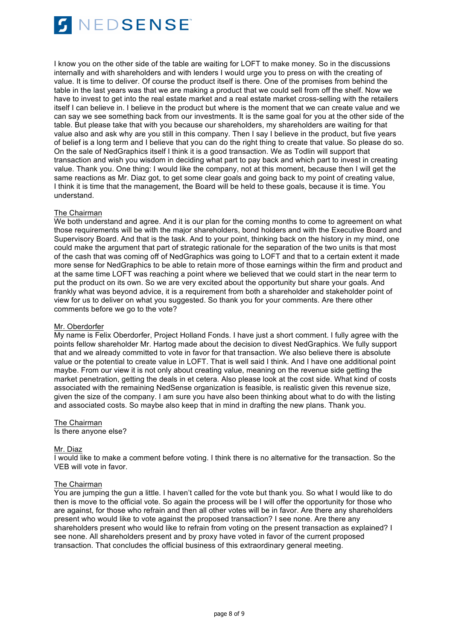

I know you on the other side of the table are waiting for LOFT to make money. So in the discussions internally and with shareholders and with lenders I would urge you to press on with the creating of value. It is time to deliver. Of course the product itself is there. One of the promises from behind the table in the last years was that we are making a product that we could sell from off the shelf. Now we have to invest to get into the real estate market and a real estate market cross-selling with the retailers itself I can believe in. I believe in the product but where is the moment that we can create value and we can say we see something back from our investments. It is the same goal for you at the other side of the table. But please take that with you because our shareholders, my shareholders are waiting for that value also and ask why are you still in this company. Then I say I believe in the product, but five years of belief is a long term and I believe that you can do the right thing to create that value. So please do so. On the sale of NedGraphics itself I think it is a good transaction. We as Todlin will support that transaction and wish you wisdom in deciding what part to pay back and which part to invest in creating value. Thank you. One thing: I would like the company, not at this moment, because then I will get the same reactions as Mr. Diaz got, to get some clear goals and going back to my point of creating value, I think it is time that the management, the Board will be held to these goals, because it is time. You understand.

## The Chairman

We both understand and agree. And it is our plan for the coming months to come to agreement on what those requirements will be with the major shareholders, bond holders and with the Executive Board and Supervisory Board. And that is the task. And to your point, thinking back on the history in my mind, one could make the argument that part of strategic rationale for the separation of the two units is that most of the cash that was coming off of NedGraphics was going to LOFT and that to a certain extent it made more sense for NedGraphics to be able to retain more of those earnings within the firm and product and at the same time LOFT was reaching a point where we believed that we could start in the near term to put the product on its own. So we are very excited about the opportunity but share your goals. And frankly what was beyond advice, it is a requirement from both a shareholder and stakeholder point of view for us to deliver on what you suggested. So thank you for your comments. Are there other comments before we go to the vote?

#### Mr. Oberdorfer

My name is Felix Oberdorfer, Project Holland Fonds. I have just a short comment. I fully agree with the points fellow shareholder Mr. Hartog made about the decision to divest NedGraphics. We fully support that and we already committed to vote in favor for that transaction. We also believe there is absolute value or the potential to create value in LOFT. That is well said I think. And I have one additional point maybe. From our view it is not only about creating value, meaning on the revenue side getting the market penetration, getting the deals in et cetera. Also please look at the cost side. What kind of costs associated with the remaining NedSense organization is feasible, is realistic given this revenue size, given the size of the company. I am sure you have also been thinking about what to do with the listing and associated costs. So maybe also keep that in mind in drafting the new plans. Thank you.

# The Chairman

Is there anyone else?

#### Mr. Diaz

I would like to make a comment before voting. I think there is no alternative for the transaction. So the VEB will vote in favor.

#### The Chairman

You are jumping the gun a little. I haven't called for the vote but thank you. So what I would like to do then is move to the official vote. So again the process will be I will offer the opportunity for those who are against, for those who refrain and then all other votes will be in favor. Are there any shareholders present who would like to vote against the proposed transaction? I see none. Are there any shareholders present who would like to refrain from voting on the present transaction as explained? I see none. All shareholders present and by proxy have voted in favor of the current proposed transaction. That concludes the official business of this extraordinary general meeting.